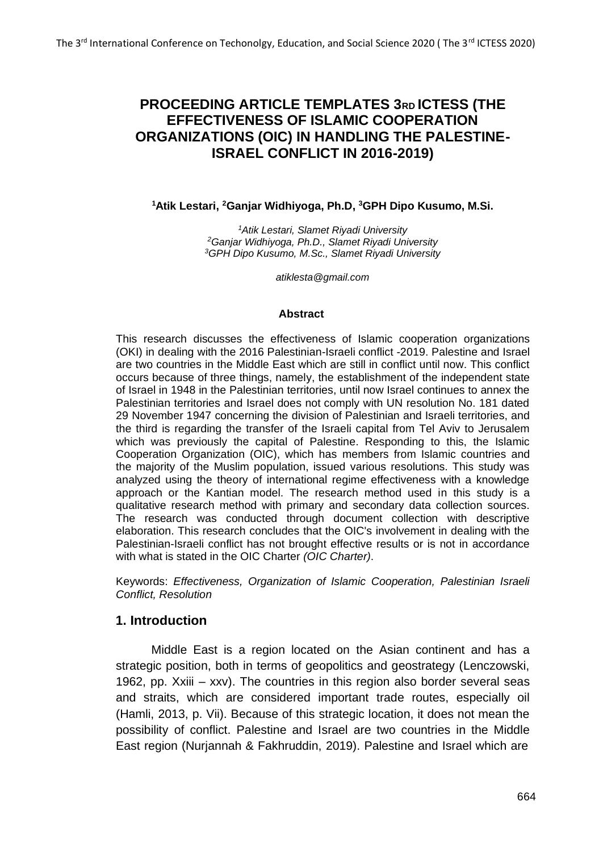# **PROCEEDING ARTICLE TEMPLATES 3RD ICTESS (THE EFFECTIVENESS OF ISLAMIC COOPERATION ORGANIZATIONS (OIC) IN HANDLING THE PALESTINE-ISRAEL CONFLICT IN 2016-2019)**

**<sup>1</sup>Atik Lestari, <sup>2</sup>Ganjar Widhiyoga, Ph.D, <sup>3</sup>GPH Dipo Kusumo, M.Si.**

*<sup>1</sup>Atik Lestari, Slamet Riyadi University <sup>2</sup>Ganjar Widhiyoga, Ph.D., Slamet Riyadi University <sup>3</sup>GPH Dipo Kusumo, M.Sc., Slamet Riyadi University*

*[atiklesta@gmail.com](mailto:atiklesta@gmail.com)*

#### **Abstract**

This research discusses the effectiveness of Islamic cooperation organizations (OKI) in dealing with the 2016 Palestinian-Israeli conflict -2019. Palestine and Israel are two countries in the Middle East which are still in conflict until now. This conflict occurs because of three things, namely, the establishment of the independent state of Israel in 1948 in the Palestinian territories, until now Israel continues to annex the Palestinian territories and Israel does not comply with UN resolution No. 181 dated 29 November 1947 concerning the division of Palestinian and Israeli territories, and the third is regarding the transfer of the Israeli capital from Tel Aviv to Jerusalem which was previously the capital of Palestine. Responding to this, the Islamic Cooperation Organization (OIC), which has members from Islamic countries and the majority of the Muslim population, issued various resolutions. This study was analyzed using the theory of international regime effectiveness with a knowledge approach or the Kantian model. The research method used in this study is a qualitative research method with primary and secondary data collection sources. The research was conducted through document collection with descriptive elaboration. This research concludes that the OIC's involvement in dealing with the Palestinian-Israeli conflict has not brought effective results or is not in accordance with what is stated in the OIC Charter *(OIC Charter)*.

Keywords: *Effectiveness, Organization of Islamic Cooperation, Palestinian Israeli Conflict, Resolution*

#### **1. Introduction**

Middle East is a region located on the Asian continent and has a strategic position, both in terms of geopolitics and geostrategy (Lenczowski, 1962, pp. Xxiii – xxv). The countries in this region also border several seas and straits, which are considered important trade routes, especially oil (Hamli, 2013, p. Vii). Because of this strategic location, it does not mean the possibility of conflict. Palestine and Israel are two countries in the Middle East region (Nurjannah & Fakhruddin, 2019). Palestine and Israel which are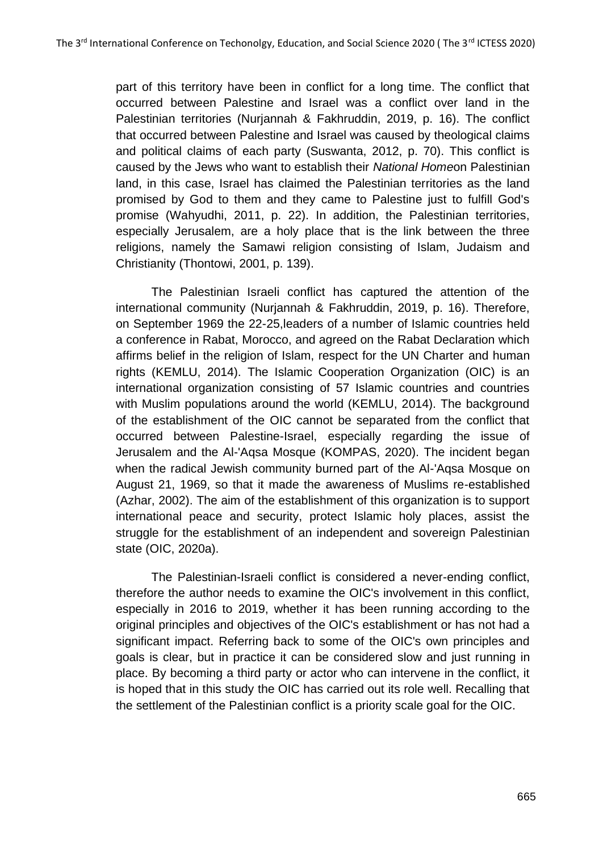part of this territory have been in conflict for a long time. The conflict that occurred between Palestine and Israel was a conflict over land in the Palestinian territories (Nurjannah & Fakhruddin, 2019, p. 16). The conflict that occurred between Palestine and Israel was caused by theological claims and political claims of each party (Suswanta, 2012, p. 70). This conflict is caused by the Jews who want to establish their *National Home*on Palestinian land, in this case, Israel has claimed the Palestinian territories as the land promised by God to them and they came to Palestine just to fulfill God's promise (Wahyudhi, 2011, p. 22). In addition, the Palestinian territories, especially Jerusalem, are a holy place that is the link between the three religions, namely the Samawi religion consisting of Islam, Judaism and Christianity (Thontowi, 2001, p. 139).

The Palestinian Israeli conflict has captured the attention of the international community (Nurjannah & Fakhruddin, 2019, p. 16). Therefore, on September 1969 the 22-25,leaders of a number of Islamic countries held a conference in Rabat, Morocco, and agreed on the Rabat Declaration which affirms belief in the religion of Islam, respect for the UN Charter and human rights (KEMLU, 2014). The Islamic Cooperation Organization (OIC) is an international organization consisting of 57 Islamic countries and countries with Muslim populations around the world (KEMLU, 2014). The background of the establishment of the OIC cannot be separated from the conflict that occurred between Palestine-Israel, especially regarding the issue of Jerusalem and the Al-'Aqsa Mosque (KOMPAS, 2020). The incident began when the radical Jewish community burned part of the Al-'Aqsa Mosque on August 21, 1969, so that it made the awareness of Muslims re-established (Azhar, 2002). The aim of the establishment of this organization is to support international peace and security, protect Islamic holy places, assist the struggle for the establishment of an independent and sovereign Palestinian state (OIC, 2020a).

The Palestinian-Israeli conflict is considered a never-ending conflict, therefore the author needs to examine the OIC's involvement in this conflict, especially in 2016 to 2019, whether it has been running according to the original principles and objectives of the OIC's establishment or has not had a significant impact. Referring back to some of the OIC's own principles and goals is clear, but in practice it can be considered slow and just running in place. By becoming a third party or actor who can intervene in the conflict, it is hoped that in this study the OIC has carried out its role well. Recalling that the settlement of the Palestinian conflict is a priority scale goal for the OIC.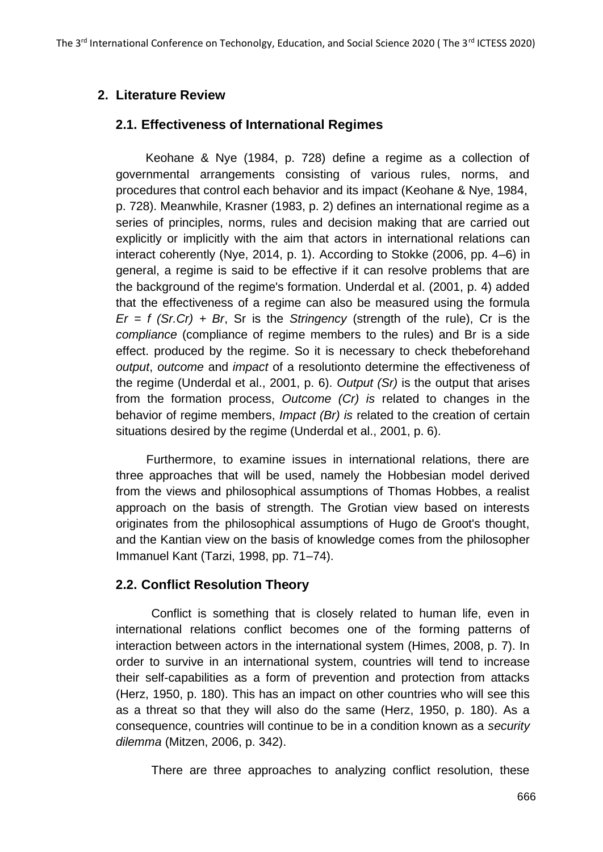# **2. Literature Review**

## **2.1. Effectiveness of International Regimes**

Keohane & Nye (1984, p. 728) define a regime as a collection of governmental arrangements consisting of various rules, norms, and procedures that control each behavior and its impact (Keohane & Nye, 1984, p. 728). Meanwhile, Krasner (1983, p. 2) defines an international regime as a series of principles, norms, rules and decision making that are carried out explicitly or implicitly with the aim that actors in international relations can interact coherently (Nye, 2014, p. 1). According to Stokke (2006, pp. 4–6) in general, a regime is said to be effective if it can resolve problems that are the background of the regime's formation. Underdal et al. (2001, p. 4) added that the effectiveness of a regime can also be measured using the formula  $Er = f(Sr.Cr) + Br$ , Sr is the *Stringency* (strength of the rule), Cr is the *compliance* (compliance of regime members to the rules) and Br is a side effect. produced by the regime. So it is necessary to check thebeforehand *output*, *outcome* and *impact* of a resolutionto determine the effectiveness of the regime (Underdal et al., 2001, p. 6). *Output (Sr)* is the output that arises from the formation process, *Outcome (Cr) is* related to changes in the behavior of regime members, *Impact (Br) is* related to the creation of certain situations desired by the regime (Underdal et al., 2001, p. 6).

Furthermore, to examine issues in international relations, there are three approaches that will be used, namely the Hobbesian model derived from the views and philosophical assumptions of Thomas Hobbes, a realist approach on the basis of strength. The Grotian view based on interests originates from the philosophical assumptions of Hugo de Groot's thought, and the Kantian view on the basis of knowledge comes from the philosopher Immanuel Kant (Tarzi, 1998, pp. 71–74).

# **2.2. Conflict Resolution Theory**

Conflict is something that is closely related to human life, even in international relations conflict becomes one of the forming patterns of interaction between actors in the international system (Himes, 2008, p. 7). In order to survive in an international system, countries will tend to increase their self-capabilities as a form of prevention and protection from attacks (Herz, 1950, p. 180). This has an impact on other countries who will see this as a threat so that they will also do the same (Herz, 1950, p. 180). As a consequence, countries will continue to be in a condition known as a *security dilemma* (Mitzen, 2006, p. 342).

There are three approaches to analyzing conflict resolution, these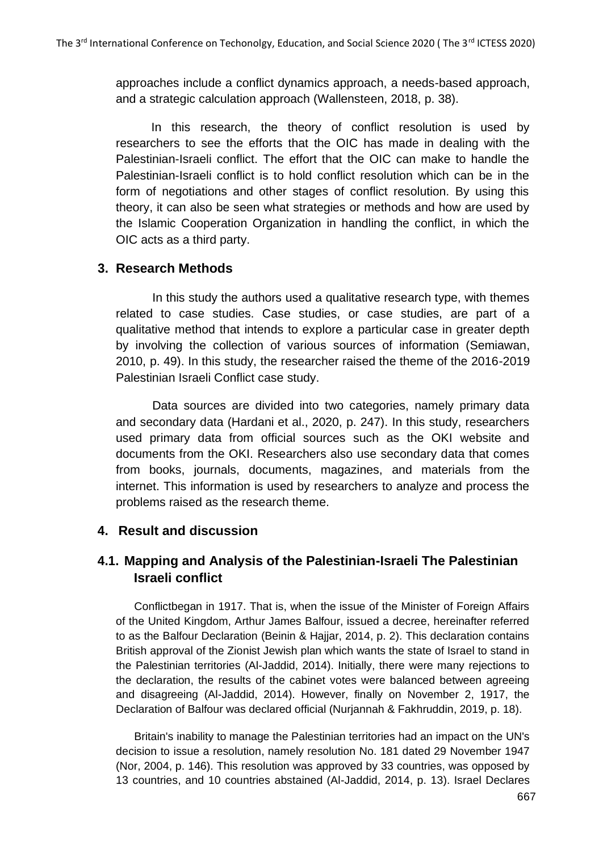approaches include a conflict dynamics approach, a needs-based approach, and a strategic calculation approach (Wallensteen, 2018, p. 38).

In this research, the theory of conflict resolution is used by researchers to see the efforts that the OIC has made in dealing with the Palestinian-Israeli conflict. The effort that the OIC can make to handle the Palestinian-Israeli conflict is to hold conflict resolution which can be in the form of negotiations and other stages of conflict resolution. By using this theory, it can also be seen what strategies or methods and how are used by the Islamic Cooperation Organization in handling the conflict, in which the OIC acts as a third party.

### **3. Research Methods**

In this study the authors used a qualitative research type, with themes related to case studies. Case studies, or case studies, are part of a qualitative method that intends to explore a particular case in greater depth by involving the collection of various sources of information (Semiawan, 2010, p. 49). In this study, the researcher raised the theme of the 2016-2019 Palestinian Israeli Conflict case study.

Data sources are divided into two categories, namely primary data and secondary data (Hardani et al., 2020, p. 247). In this study, researchers used primary data from official sources such as the OKI website and documents from the OKI. Researchers also use secondary data that comes from books, journals, documents, magazines, and materials from the internet. This information is used by researchers to analyze and process the problems raised as the research theme.

### **4. Result and discussion**

# **4.1. Mapping and Analysis of the Palestinian-Israeli The Palestinian Israeli conflict**

Conflictbegan in 1917. That is, when the issue of the Minister of Foreign Affairs of the United Kingdom, Arthur James Balfour, issued a decree, hereinafter referred to as the Balfour Declaration (Beinin & Hajjar, 2014, p. 2). This declaration contains British approval of the Zionist Jewish plan which wants the state of Israel to stand in the Palestinian territories (Al-Jaddid, 2014). Initially, there were many rejections to the declaration, the results of the cabinet votes were balanced between agreeing and disagreeing (Al-Jaddid, 2014). However, finally on November 2, 1917, the Declaration of Balfour was declared official (Nurjannah & Fakhruddin, 2019, p. 18).

Britain's inability to manage the Palestinian territories had an impact on the UN's decision to issue a resolution, namely resolution No. 181 dated 29 November 1947 (Nor, 2004, p. 146). This resolution was approved by 33 countries, was opposed by 13 countries, and 10 countries abstained (Al-Jaddid, 2014, p. 13). Israel Declares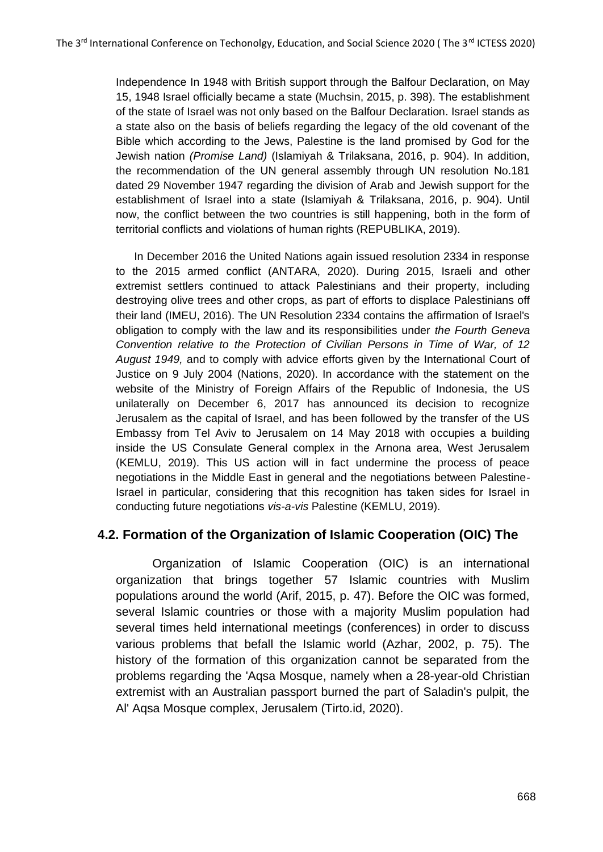Independence In 1948 with British support through the Balfour Declaration, on May 15, 1948 Israel officially became a state (Muchsin, 2015, p. 398). The establishment of the state of Israel was not only based on the Balfour Declaration. Israel stands as a state also on the basis of beliefs regarding the legacy of the old covenant of the Bible which according to the Jews, Palestine is the land promised by God for the Jewish nation *(Promise Land)* (Islamiyah & Trilaksana, 2016, p. 904). In addition, the recommendation of the UN general assembly through UN resolution No.181 dated 29 November 1947 regarding the division of Arab and Jewish support for the establishment of Israel into a state (Islamiyah & Trilaksana, 2016, p. 904). Until now, the conflict between the two countries is still happening, both in the form of territorial conflicts and violations of human rights (REPUBLIKA, 2019).

In December 2016 the United Nations again issued resolution 2334 in response to the 2015 armed conflict (ANTARA, 2020). During 2015, Israeli and other extremist settlers continued to attack Palestinians and their property, [including](https://www.maannews.com/Content.aspx?id=765495) [destroying olive trees and o](https://www.maannews.com/Content.aspx?id=765495)ther crops, as part of efforts to displace Palestinians off their land (IMEU, 2016). The UN Resolution 2334 contains the affirmation of Israel's obligation to comply with the law and its responsibilities under *the Fourth Geneva Convention relative to the Protection of Civilian Persons in Time of War, of 12 August 1949,* and to comply with advice efforts given by the International Court of Justice on 9 July 2004 (Nations, 2020). In accordance with the statement on the website of the Ministry of Foreign Affairs of the Republic of Indonesia, the US unilaterally on December 6, 2017 has announced its decision to recognize Jerusalem as the capital of Israel, and has been followed by the transfer of the US Embassy from Tel Aviv to Jerusalem on 14 May 2018 with occupies a building inside the US Consulate General complex in the Arnona area, West Jerusalem (KEMLU, 2019). This US action will in fact undermine the process of peace negotiations in the Middle East in general and the negotiations between Palestine-Israel in particular, considering that this recognition has taken sides for Israel in conducting future negotiations *vis-a-vis* Palestine (KEMLU, 2019).

### **4.2. Formation of the Organization of Islamic Cooperation (OIC) The**

Organization of Islamic Cooperation (OIC) is an international organization that brings together 57 Islamic countries with Muslim populations around the world (Arif, 2015, p. 47). Before the OIC was formed, several Islamic countries or those with a majority Muslim population had several times held international meetings (conferences) in order to discuss various problems that befall the Islamic world (Azhar, 2002, p. 75). The history of the formation of this organization cannot be separated from the problems regarding the 'Aqsa Mosque, namely when a 28-year-old Christian extremist with an Australian passport burned the part of Saladin's pulpit, the Al' Aqsa Mosque complex, Jerusalem (Tirto.id, 2020).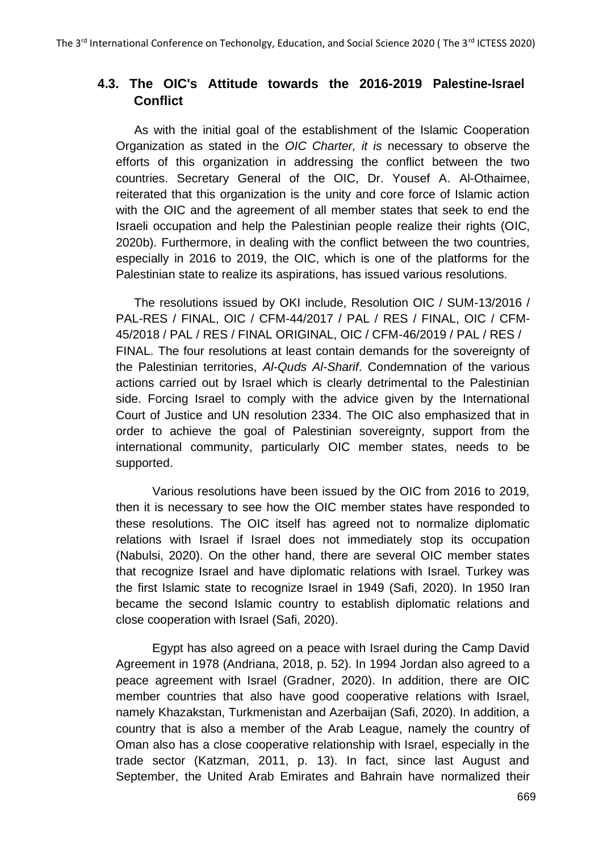## **4.3. The OIC's Attitude towards the 2016-2019 Palestine-Israel Conflict**

As with the initial goal of the establishment of the Islamic Cooperation Organization as stated in the *OIC Charter, it is* necessary to observe the efforts of this organization in addressing the conflict between the two countries. Secretary General of the OIC, Dr. Yousef A. Al-Othaimee, reiterated that this organization is the unity and core force of Islamic action with the OIC and the agreement of all member states that seek to end the Israeli occupation and help the Palestinian people realize their rights (OIC, 2020b). Furthermore, in dealing with the conflict between the two countries, especially in 2016 to 2019, the OIC, which is one of the platforms for the Palestinian state to realize its aspirations, has issued various resolutions.

The resolutions issued by OKI include, Resolution OIC / SUM-13/2016 / PAL-RES / FINAL, OIC / CFM-44/2017 / PAL / RES / FINAL, OIC / CFM-45/2018 / PAL / RES / FINAL ORIGINAL, OIC / CFM-46/2019 / PAL / RES / FINAL. The four resolutions at least contain demands for the sovereignty of the Palestinian territories, *Al-Quds Al-Sharif*. Condemnation of the various actions carried out by Israel which is clearly detrimental to the Palestinian side. Forcing Israel to comply with the advice given by the International Court of Justice and UN resolution 2334. The OIC also emphasized that in order to achieve the goal of Palestinian sovereignty, support from the international community, particularly OIC member states, needs to be supported.

Various resolutions have been issued by the OIC from 2016 to 2019, then it is necessary to see how the OIC member states have responded to these resolutions. The OIC itself has agreed not to normalize diplomatic relations with Israel if Israel does not immediately stop its occupation (Nabulsi, 2020). On the other hand, there are several OIC member states that recognize Israel and have diplomatic relations with Israel. Turkey was the first Islamic state to recognize Israel in 1949 (Safi, 2020). In 1950 Iran became the second Islamic country to establish diplomatic relations and close cooperation with Israel (Safi, 2020).

Egypt has also agreed on a peace with Israel during the Camp David Agreement in 1978 (Andriana, 2018, p. 52). In 1994 Jordan also agreed to a peace agreement with Israel (Gradner, 2020). In addition, there are OIC member countries that also have good cooperative relations with Israel, namely Khazakstan, Turkmenistan and Azerbaijan (Safi, 2020). In addition, a country that is also a member of the Arab League, namely the country of Oman also has a close cooperative relationship with Israel, especially in the trade sector (Katzman, 2011, p. 13). In fact, since last August and September, the United Arab Emirates and Bahrain have normalized their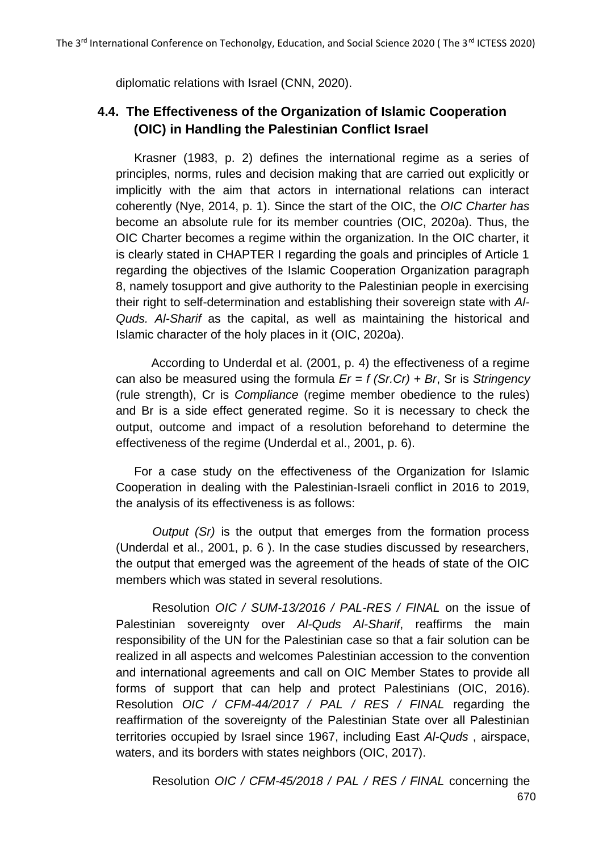diplomatic relations with Israel (CNN, 2020).

# **4.4. The Effectiveness of the Organization of Islamic Cooperation (OIC) in Handling the Palestinian Conflict Israel**

Krasner (1983, p. 2) defines the international regime as a series of principles, norms, rules and decision making that are carried out explicitly or implicitly with the aim that actors in international relations can interact coherently (Nye, 2014, p. 1). Since the start of the OIC, the *OIC Charter has*  become an absolute rule for its member countries (OIC, 2020a). Thus, the OIC Charter becomes a regime within the organization. In the OIC charter, it is clearly stated in CHAPTER I regarding the goals and principles of Article 1 regarding the objectives of the Islamic Cooperation Organization paragraph 8, namely tosupport and give authority to the Palestinian people in exercising their right to self-determination and establishing their sovereign state with *Al-Quds. Al-Sharif* as the capital, as well as maintaining the historical and Islamic character of the holy places in it (OIC, 2020a).

According to Underdal et al. (2001, p. 4) the effectiveness of a regime can also be measured using the formula *Er = f (Sr.Cr) + Br*, Sr is *Stringency*  (rule strength), Cr is *Compliance* (regime member obedience to the rules) and Br is a side effect generated regime. So it is necessary to check the output, outcome and impact of a resolution beforehand to determine the effectiveness of the regime (Underdal et al., 2001, p. 6).

For a case study on the effectiveness of the Organization for Islamic Cooperation in dealing with the Palestinian-Israeli conflict in 2016 to 2019, the analysis of its effectiveness is as follows:

*Output (Sr)* is the output that emerges from the formation process (Underdal et al., 2001, p. 6 ). In the case studies discussed by researchers, the output that emerged was the agreement of the heads of state of the OIC members which was stated in several resolutions.

Resolution *OIC / SUM-13/2016 / PAL-RES / FINAL* on the issue of Palestinian sovereignty over *Al-Quds Al-Sharif*, reaffirms the main responsibility of the UN for the Palestinian case so that a fair solution can be realized in all aspects and welcomes Palestinian accession to the convention and international agreements and call on OIC Member States to provide all forms of support that can help and protect Palestinians (OIC, 2016). Resolution *OIC / CFM-44/2017 / PAL / RES / FINAL* regarding the reaffirmation of the sovereignty of the Palestinian State over all Palestinian territories occupied by Israel since 1967, including East *Al-Quds* , airspace, waters, and its borders with states neighbors (OIC, 2017).

670 Resolution *OIC / CFM-45/2018 / PAL / RES / FINAL* concerning the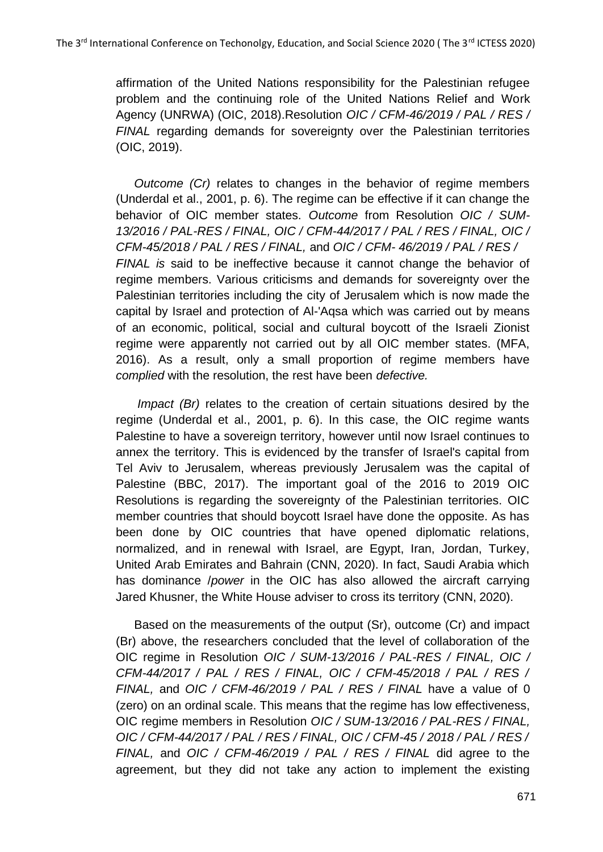affirmation of the United Nations responsibility for the Palestinian refugee problem and the continuing role of the United Nations Relief and Work Agency (UNRWA) (OIC, 2018).Resolution *OIC / CFM-46/2019 / PAL / RES / FINAL* regarding demands for sovereignty over the Palestinian territories (OIC, 2019).

*Outcome (Cr)* relates to changes in the behavior of regime members (Underdal et al., 2001, p. 6). The regime can be effective if it can change the behavior of OIC member states. *Outcome* from Resolution *OIC / SUM-13/2016 / PAL-RES / FINAL, OIC / CFM-44/2017 / PAL / RES / FINAL, OIC / CFM-45/2018 / PAL / RES / FINAL,* and *OIC / CFM- 46/2019 / PAL / RES / FINAL is* said to be ineffective because it cannot change the behavior of regime members. Various criticisms and demands for sovereignty over the Palestinian territories including the city of Jerusalem which is now made the capital by Israel and protection of Al-'Aqsa which was carried out by means of an economic, political, social and cultural boycott of the Israeli Zionist regime were apparently not carried out by all OIC member states. (MFA, 2016). As a result, only a small proportion of regime members have *complied* with the resolution, the rest have been *defective.*

*Impact (Br)* relates to the creation of certain situations desired by the regime (Underdal et al., 2001, p. 6). In this case, the OIC regime wants Palestine to have a sovereign territory, however until now Israel continues to annex the territory. This is evidenced by the transfer of Israel's capital from Tel Aviv to Jerusalem, whereas previously Jerusalem was the capital of Palestine (BBC, 2017). The important goal of the 2016 to 2019 OIC Resolutions is regarding the sovereignty of the Palestinian territories. OIC member countries that should boycott Israel have done the opposite. As has been done by OIC countries that have opened diplomatic relations, normalized, and in renewal with Israel, are Egypt, Iran, Jordan, Turkey, United Arab Emirates and Bahrain (CNN, 2020). In fact, Saudi Arabia which has dominance /*power* in the OIC has also allowed the aircraft carrying Jared Khusner, the White House adviser to cross its territory (CNN, 2020).

Based on the measurements of the output (Sr), outcome (Cr) and impact (Br) above, the researchers concluded that the level of collaboration of the OIC regime in Resolution *OIC / SUM-13/2016 / PAL-RES / FINAL, OIC / CFM-44/2017 / PAL / RES / FINAL, OIC / CFM-45/2018 / PAL / RES / FINAL,* and *OIC / CFM-46/2019 / PAL / RES / FINAL* have a value of 0 (zero) on an ordinal scale. This means that the regime has low effectiveness, OIC regime members in Resolution *OIC / SUM-13/2016 / PAL-RES / FINAL, OIC / CFM-44/2017 / PAL / RES / FINAL, OIC / CFM-45 / 2018 / PAL / RES / FINAL,* and *OIC / CFM-46/2019 / PAL / RES / FINAL* did agree to the agreement, but they did not take any action to implement the existing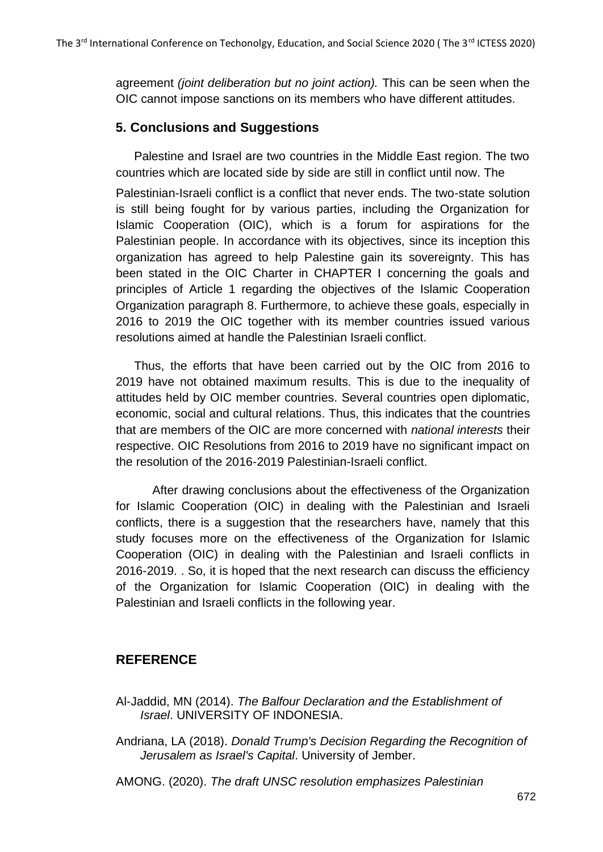agreement *(joint deliberation but no joint action).* This can be seen when the OIC cannot impose sanctions on its members who have different attitudes.

### **5. Conclusions and Suggestions**

Palestine and Israel are two countries in the Middle East region. The two countries which are located side by side are still in conflict until now. The

Palestinian-Israeli conflict is a conflict that never ends. The two-state solution is still being fought for by various parties, including the Organization for Islamic Cooperation (OIC), which is a forum for aspirations for the Palestinian people. In accordance with its objectives, since its inception this organization has agreed to help Palestine gain its sovereignty. This has been stated in the OIC Charter in CHAPTER I concerning the goals and principles of Article 1 regarding the objectives of the Islamic Cooperation Organization paragraph 8. Furthermore, to achieve these goals, especially in 2016 to 2019 the OIC together with its member countries issued various resolutions aimed at handle the Palestinian Israeli conflict.

Thus, the efforts that have been carried out by the OIC from 2016 to 2019 have not obtained maximum results. This is due to the inequality of attitudes held by OIC member countries. Several countries open diplomatic, economic, social and cultural relations. Thus, this indicates that the countries that are members of the OIC are more concerned with *national interests* their respective. OIC Resolutions from 2016 to 2019 have no significant impact on the resolution of the 2016-2019 Palestinian-Israeli conflict.

After drawing conclusions about the effectiveness of the Organization for Islamic Cooperation (OIC) in dealing with the Palestinian and Israeli conflicts, there is a suggestion that the researchers have, namely that this study focuses more on the effectiveness of the Organization for Islamic Cooperation (OIC) in dealing with the Palestinian and Israeli conflicts in 2016-2019. . So, it is hoped that the next research can discuss the efficiency of the Organization for Islamic Cooperation (OIC) in dealing with the Palestinian and Israeli conflicts in the following year.

### **REFERENCE**

- Al-Jaddid, MN (2014). *The Balfour Declaration and the Establishment of Israel*. UNIVERSITY OF INDONESIA.
- Andriana, LA (2018). *Donald Trump's Decision Regarding the Recognition of Jerusalem as Israel's Capital*. University of Jember.
- AMONG. (2020). *The draft UNSC resolution emphasizes Palestinian*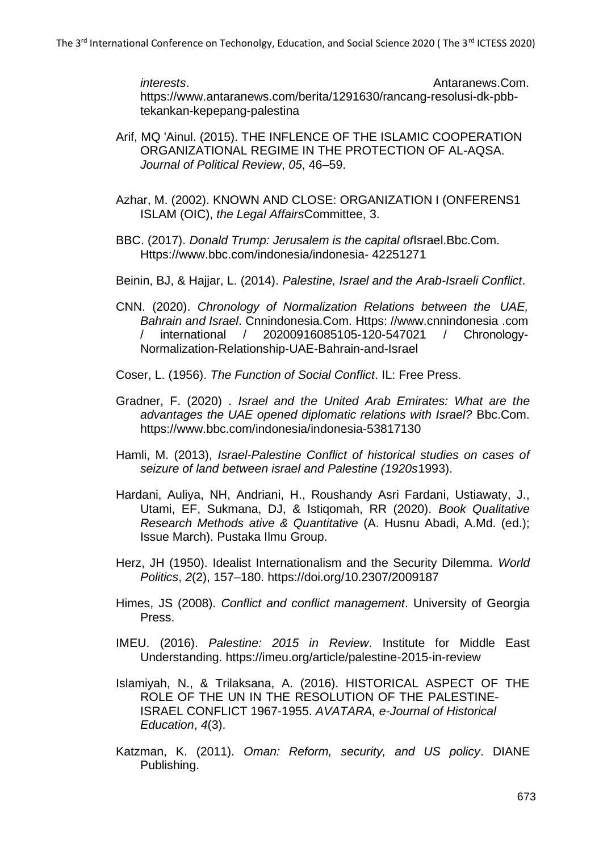*interests.* Antaranews.Com. https:/[/www.antaranews.com/berita/1291630/rancang-resolusi-dk-pbb](http://www.antaranews.com/berita/1291630/rancang-resolusi-dk-pbb-)tekankan-kepepang-palestina

- Arif, MQ 'Ainul. (2015). THE INFLENCE OF THE ISLAMIC COOPERATION ORGANIZATIONAL REGIME IN THE PROTECTION OF AL-AQSA. *Journal of Political Review*, *05*, 46–59.
- Azhar, M. (2002). KNOWN AND CLOSE: ORGANIZATION I (ONFERENS1 ISLAM (OIC), *the Legal Affairs*Committee, 3.
- BBC. (2017). *Donald Trump: Jerusalem is the capital of*Israel.Bbc.Com. Https:[//www.bbc.com/indonesia/indonesia-](http://www.bbc.com/indonesia/indonesia-) 42251271
- Beinin, BJ, & Hajjar, L. (2014). *Palestine, Israel and the Arab-Israeli Conflict*.
- CNN. (2020). *Chronology of Normalization Relations between the UAE, Bahrain and Israel*. Cnnindonesia.Com. Https: //www.cnnindonesia .com / international / 20200916085105-120-547021 / Chronology-Normalization-Relationship-UAE-Bahrain-and-Israel
- Coser, L. (1956). *The Function of Social Conflict*. IL: Free Press.
- Gradner, F. (2020) . *Israel and the United Arab Emirates: What are the advantages the UAE opened diplomatic relations with Israel?* Bbc.Com. https:/[/www.bbc.com/indonesia/indonesia-53817130](http://www.bbc.com/indonesia/indonesia-53817130)
- Hamli, M. (2013), *Israel-Palestine Conflict of historical studies on cases of seizure of land between israel and Palestine (1920s*1993).
- Hardani, Auliya, NH, Andriani, H., Roushandy Asri Fardani, Ustiawaty, J., Utami, EF, Sukmana, DJ, & Istiqomah, RR (2020). *Book Qualitative Research Methods ative & Quantitative* (A. Husnu Abadi, A.Md. (ed.); Issue March). Pustaka Ilmu Group.
- Herz, JH (1950). Idealist Internationalism and the Security Dilemma. *World Politics*, *2*(2), 157–180. https://doi.org/10.2307/2009187
- Himes, JS (2008). *Conflict and conflict management*. University of Georgia Press.
- IMEU. (2016). *Palestine: 2015 in Review*. Institute for Middle East Understanding. https://imeu.org/article/palestine-2015-in-review
- Islamiyah, N., & Trilaksana, A. (2016). HISTORICAL ASPECT OF THE ROLE OF THE UN IN THE RESOLUTION OF THE PALESTINE-ISRAEL CONFLICT 1967-1955. *AVATARA, e-Journal of Historical Education*, *4*(3).
- Katzman, K. (2011). *Oman: Reform, security, and US policy*. DIANE Publishing.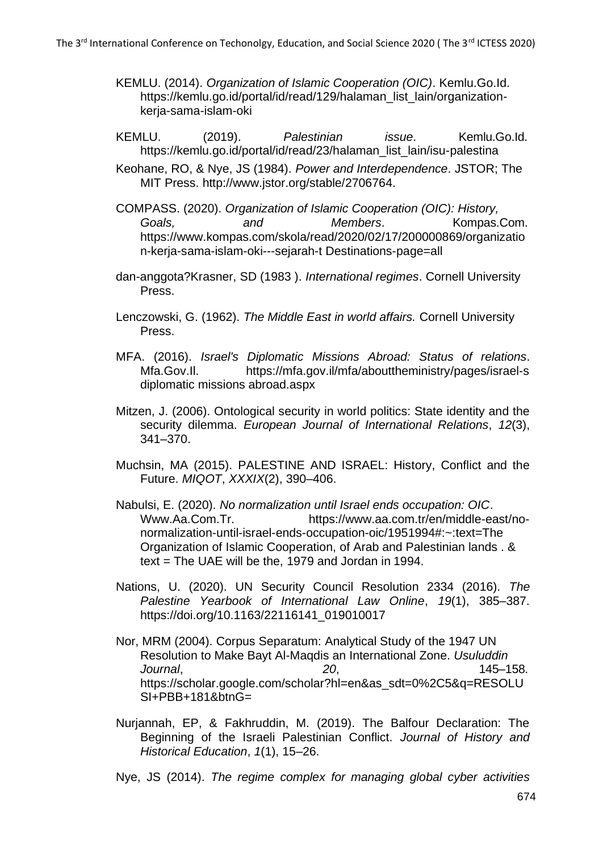- KEMLU. (2014). *Organization of Islamic Cooperation (OIC)*. Kemlu.Go.Id. https://kemlu.go.id/portal/id/read/129/halaman\_list\_lain/organizationkerja-sama-islam-oki
- KEMLU. (2019). *Palestinian issue*. Kemlu.Go.Id. https://kemlu.go.id/portal/id/read/23/halaman\_list\_lain/isu-palestina
- Keohane, RO, & Nye, JS (1984). *Power and Interdependence*. JSTOR; The MIT Press. [http://www.jstor.org/stable/2706764.](http://www.jstor.org/stable/2706764)
- COMPASS. (2020). *Organization of Islamic Cooperation (OIC): History, Goals, and Members*. Kompas.Com. https:/[/www.kompas.com/skola/read/2020/02/17/200000869/organizatio](http://www.kompas.com/skola/read/2020/02/17/200000869/organizatio) n-kerja-sama-islam-oki---sejarah-t Destinations-page=all
- dan-anggota?Krasner, SD (1983 ). *International regimes*. Cornell University Press.
- Lenczowski, G. (1962). *The Middle East in world affairs.* Cornell University Press.
- MFA. (2016). *Israel's Diplomatic Missions Abroad: Status of relations*. Mfa.Gov.II. https://mfa.gov.il/mfa/abouttheministry/pages/israel-s diplomatic missions abroad.aspx
- Mitzen, J. (2006). Ontological security in world politics: State identity and the security dilemma. *European Journal of International Relations*, *12*(3), 341–370.
- Muchsin, MA (2015). PALESTINE AND ISRAEL: History, Conflict and the Future. *MIQOT*, *XXXIX*(2), 390–406.
- Nabulsi, E. (2020). *No normalization until Israel ends occupation: OIC*. Www.Aa.Com.Tr. https:/[/www.aa.com.tr/en/middle-east/no](http://www.aa.com.tr/en/middle-east/no-)normalization-until-israel-ends-occupation-oic/1951994#:~:text=The Organization of Islamic Cooperation, of Arab and Palestinian lands . & text = The UAE will be the, 1979 and Jordan in 1994.
- Nations, U. (2020). UN Security Council Resolution 2334 (2016). *The Palestine Yearbook of International Law Online*, *19*(1), 385–387. https://doi.org/10.1163/22116141\_019010017
- Nor, MRM (2004). Corpus Separatum: Analytical Study of the 1947 UN Resolution to Make Bayt Al-Maqdis an International Zone. *Usuluddin Journal*, *20*, 145–158. https://scholar.google.com/scholar?hl=en&as\_sdt=0%2C5&q=RESOLU SI+PBB+181&btnG=
- Nurjannah, EP, & Fakhruddin, M. (2019). The Balfour Declaration: The Beginning of the Israeli Palestinian Conflict. *Journal of History and Historical Education*, *1*(1), 15–26.

Nye, JS (2014). *The regime complex for managing global cyber activities*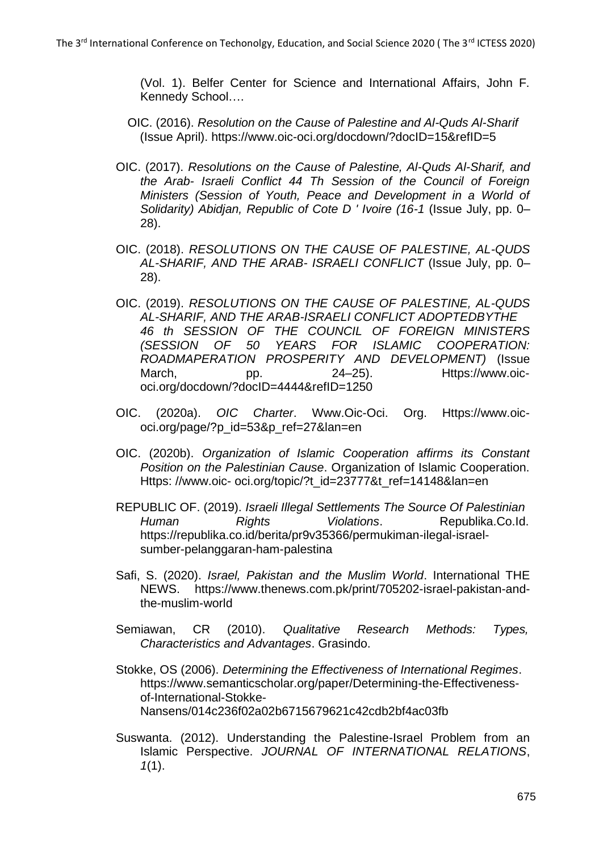(Vol. 1). Belfer Center for Science and International Affairs, John F. Kennedy School….

- OIC. (2016). *Resolution on the Cause of Palestine and Al-Quds Al-Sharif* (Issue April). https:/[/www.oic-oci.org/docdown/?docID=15&refID=5](http://www.oic-oci.org/docdown/?docID=15&refID=5)
- OIC. (2017). *Resolutions on the Cause of Palestine, Al-Quds Al-Sharif, and the Arab- Israeli Conflict 44 Th Session of the Council of Foreign Ministers (Session of Youth, Peace and Development in a World of Solidarity) Abidjan, Republic of Cote D ' Ivoire (16-1* (Issue July, pp. 0– 28).
- OIC. (2018). *RESOLUTIONS ON THE CAUSE OF PALESTINE, AL-QUDS AL-SHARIF, AND THE ARAB- ISRAELI CONFLICT* (Issue July, pp. 0– 28).
- OIC. (2019). *RESOLUTIONS ON THE CAUSE OF PALESTINE, AL-QUDS AL-SHARIF, AND THE ARAB-ISRAELI CONFLICT ADOPTEDBYTHE 46 th SESSION OF THE COUNCIL OF FOREIGN MINISTERS (SESSION OF 50 YEARS FOR ISLAMIC COOPERATION: ROADMAPERATION PROSPERITY AND DEVELOPMENT)* (Issue March. bp. 24–25). Https://www.oicoci.org/docdown/?docID=4444&refID=1250
- OIC. (2020a). *OIC Charter*. Www.Oic-Oci. Org. Https://www.oicoci.org/page/?p\_id=53&p\_ref=27&lan=en
- OIC. (2020b). *Organization of Islamic Cooperation affirms its Constant Position on the Palestinian Cause*. Organization of Islamic Cooperation. Https: //www.oic- oci.org/topic/?t\_id=23777&t\_ref=14148&lan=en
- REPUBLIC OF. (2019). *Israeli Illegal Settlements The Source Of Palestinian Human Rights Violations*. Republika.Co.Id. https://republika.co.id/berita/pr9v35366/permukiman-ilegal-israelsumber-pelanggaran-ham-palestina
- Safi, S. (2020). *Israel, Pakistan and the Muslim World*. International THE NEWS. https:[//www.thenews.com.pk/print/705202-israel-pakistan-and](http://www.thenews.com.pk/print/705202-israel-pakistan-and-)the-muslim-world
- Semiawan, CR (2010). *Qualitative Research Methods: Types, Characteristics and Advantages*. Grasindo.
- Stokke, OS (2006). *Determining the Effectiveness of International Regimes*. https:/[/www.semanticscholar.org/paper/Determining-the-Effectiveness](http://www.semanticscholar.org/paper/Determining-the-Effectiveness-)of-International-Stokke-Nansens/014c236f02a02b6715679621c42cdb2bf4ac03fb
- Suswanta. (2012). Understanding the Palestine-Israel Problem from an Islamic Perspective. *JOURNAL OF INTERNATIONAL RELATIONS*, *1*(1).